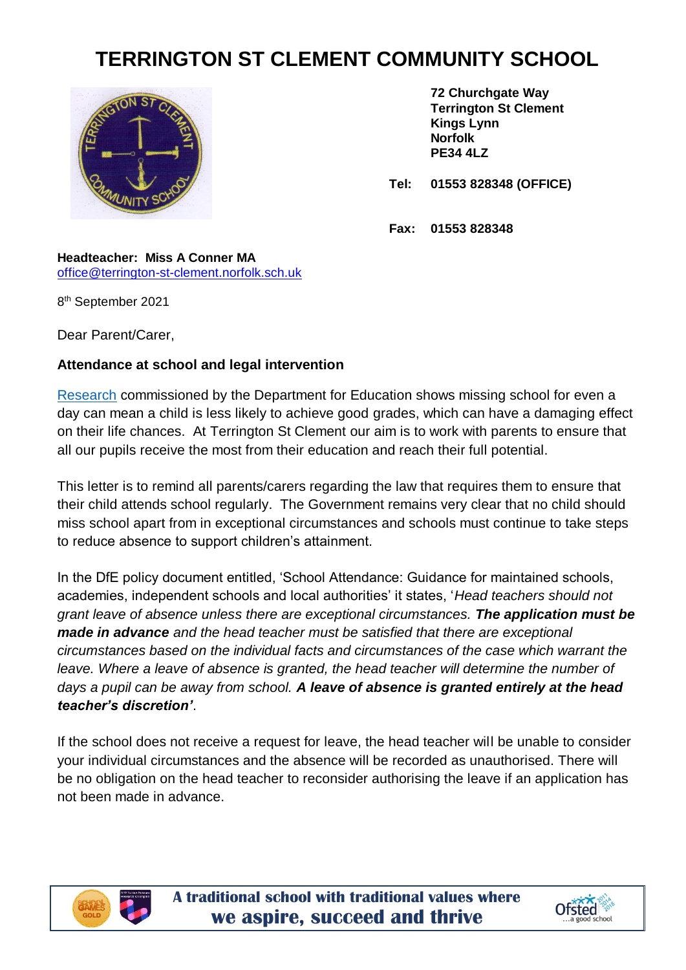## **TERRINGTON ST CLEMENT COMMUNITY SCHOOL**



**72 Churchgate Way Terrington St Clement Kings Lynn Norfolk PE34 4LZ**

**Tel: 01553 828348 (OFFICE)**

**Fax: 01553 828348**

## **Headteacher: Miss A Conner MA** [office@terrington-st-clement.norfolk.sch.uk](mailto:office@terrington-st-clement.norfolk.sch.uk)

8 th September 2021

Dear Parent/Carer,

## **Attendance at school and legal intervention**

[Research](https://www.gov.uk/government/publications/absence-and-attainment-at-key-stages-2-and-4-2013-to-2014) commissioned by the Department for Education shows missing school for even a day can mean a child is less likely to achieve good grades, which can have a damaging effect on their life chances. At Terrington St Clement our aim is to work with parents to ensure that all our pupils receive the most from their education and reach their full potential.

This letter is to remind all parents/carers regarding the law that requires them to ensure that their child attends school regularly. The Government remains very clear that no child should miss school apart from in exceptional circumstances and schools must continue to take steps to reduce absence to support children's attainment.

In the DfE policy document entitled, 'School Attendance: Guidance for maintained schools, academies, independent schools and local authorities' it states, '*Head teachers should not grant leave of absence unless there are exceptional circumstances. The application must be made in advance and the head teacher must be satisfied that there are exceptional circumstances based on the individual facts and circumstances of the case which warrant the*  leave. Where a leave of absence is granted, the head teacher will determine the number of *days a pupil can be away from school. A leave of absence is granted entirely at the head teacher's discretion'*.

If the school does not receive a request for leave, the head teacher will be unable to consider your individual circumstances and the absence will be recorded as unauthorised. There will be no obligation on the head teacher to reconsider authorising the leave if an application has not been made in advance.



**A traditional school with traditional values where we aspire, succeed and thrive**